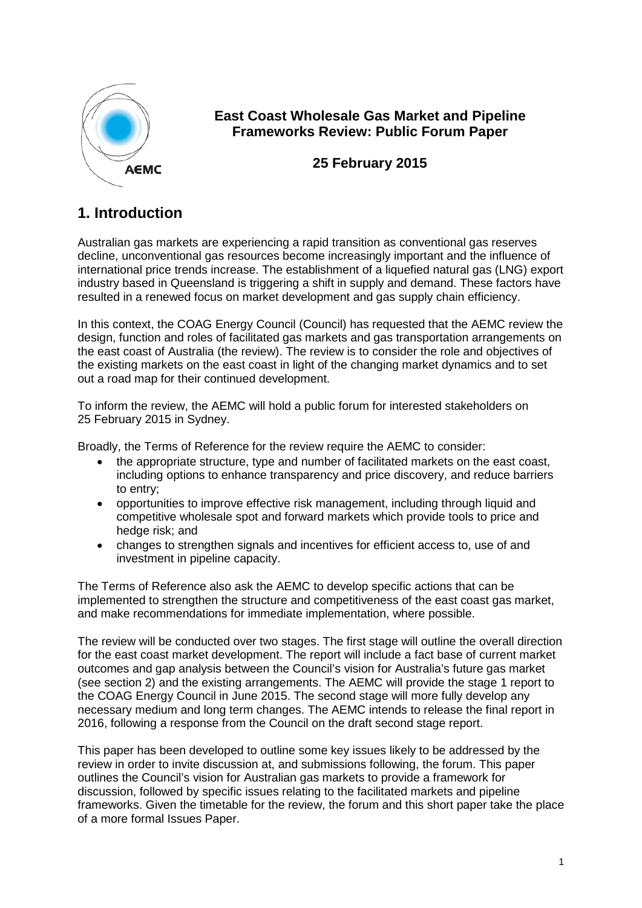

## **East Coast Wholesale Gas Market and Pipeline Frameworks Review: Public Forum Paper**

## **25 February 2015**

# **1. Introduction**

Australian gas markets are experiencing a rapid transition as conventional gas reserves decline, unconventional gas resources become increasingly important and the influence of international price trends increase. The establishment of a liquefied natural gas (LNG) export industry based in Queensland is triggering a shift in supply and demand. These factors have resulted in a renewed focus on market development and gas supply chain efficiency.

In this context, the COAG Energy Council (Council) has requested that the AEMC review the design, function and roles of facilitated gas markets and gas transportation arrangements on the east coast of Australia (the review). The review is to consider the role and objectives of the existing markets on the east coast in light of the changing market dynamics and to set out a road map for their continued development.

To inform the review, the AEMC will hold a public forum for interested stakeholders on 25 February 2015 in Sydney.

Broadly, the Terms of Reference for the review require the AEMC to consider:

- the appropriate structure, type and number of facilitated markets on the east coast, including options to enhance transparency and price discovery, and reduce barriers to entry;
- opportunities to improve effective risk management, including through liquid and competitive wholesale spot and forward markets which provide tools to price and hedge risk; and
- changes to strengthen signals and incentives for efficient access to, use of and investment in pipeline capacity.

The Terms of Reference also ask the AEMC to develop specific actions that can be implemented to strengthen the structure and competitiveness of the east coast gas market, and make recommendations for immediate implementation, where possible.

The review will be conducted over two stages. The first stage will outline the overall direction for the east coast market development. The report will include a fact base of current market outcomes and gap analysis between the Council's vision for Australia's future gas market (see section 2) and the existing arrangements. The AEMC will provide the stage 1 report to the COAG Energy Council in June 2015. The second stage will more fully develop any necessary medium and long term changes. The AEMC intends to release the final report in 2016, following a response from the Council on the draft second stage report.

<span id="page-0-0"></span>This paper has been developed to outline some key issues likely to be addressed by the review in order to invite discussion at, and submissions following, the forum. This paper outlines the Council's vision for Australian gas markets to provide a framework for discussion, followed by specific issues relating to the facilitated markets and pipeline frameworks. Given the timetable for the review, the forum and this short paper take the place of a more formal Issues Paper.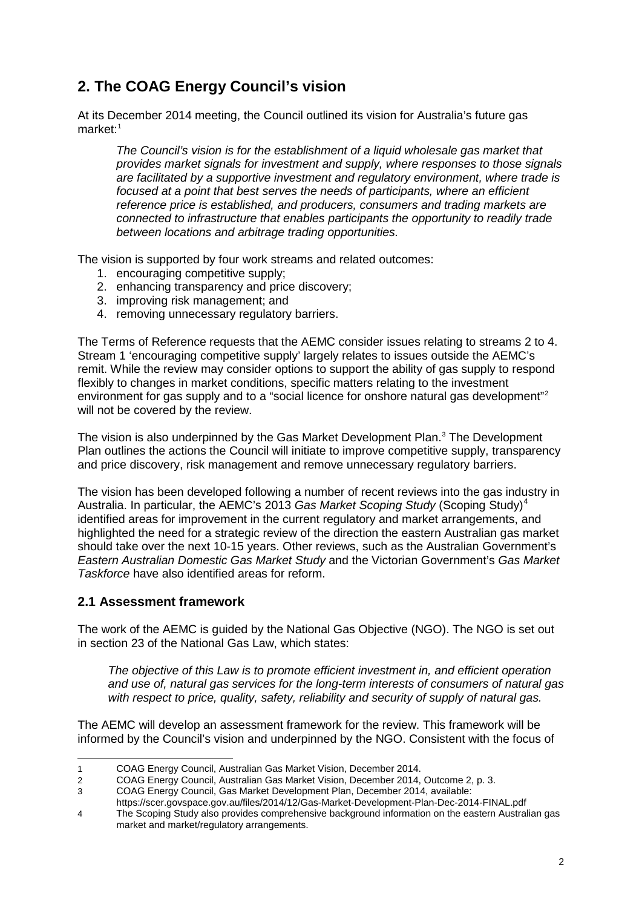# **2. The COAG Energy Council's vision**

At its December 2014 meeting, the Council outlined its vision for Australia's future gas market:<sup>[1](#page-0-0)</sup>

*The Council's vision is for the establishment of a liquid wholesale gas market that provides market signals for investment and supply, where responses to those signals are facilitated by a supportive investment and regulatory environment, where trade is focused at a point that best serves the needs of participants, where an efficient reference price is established, and producers, consumers and trading markets are connected to infrastructure that enables participants the opportunity to readily trade between locations and arbitrage trading opportunities.* 

The vision is supported by four work streams and related outcomes:

- 1. encouraging competitive supply;
- 2. enhancing transparency and price discovery;
- 3. improving risk management; and
- 4. removing unnecessary regulatory barriers.

The Terms of Reference requests that the AEMC consider issues relating to streams 2 to 4. Stream 1 'encouraging competitive supply' largely relates to issues outside the AEMC's remit. While the review may consider options to support the ability of gas supply to respond flexibly to changes in market conditions, specific matters relating to the investment environment for gas supply and to a "social licence for onshore natural gas development"<sup>[2](#page-1-0)</sup> will not be covered by the review.

The vision is also underpinned by the Gas Market Development Plan. [3](#page-1-1) The Development Plan outlines the actions the Council will initiate to improve competitive supply, transparency and price discovery, risk management and remove unnecessary regulatory barriers.

The vision has been developed following a number of recent reviews into the gas industry in Australia. In particular, the AEMC's 2013 *Gas Market Scoping Study* (Scoping Study)[4](#page-1-2) identified areas for improvement in the current regulatory and market arrangements, and highlighted the need for a strategic review of the direction the eastern Australian gas market should take over the next 10-15 years. Other reviews, such as the Australian Government's *Eastern Australian Domestic Gas Market Study* and the Victorian Government's *Gas Market Taskforce* have also identified areas for reform.

#### **2.1 Assessment framework**

The work of the AEMC is guided by the National Gas Objective (NGO). The NGO is set out in section 23 of the National Gas Law, which states:

*The objective of this Law is to promote efficient investment in, and efficient operation and use of, natural gas services for the long-term interests of consumers of natural gas with respect to price, quality, safety, reliability and security of supply of natural gas.*

The AEMC will develop an assessment framework for the review. This framework will be informed by the Council's vision and underpinned by the NGO. Consistent with the focus of

<https://scer.govspace.gov.au/files/2014/12/Gas-Market-Development-Plan-Dec-2014-FINAL.pdf>

 <sup>1</sup> COAG Energy Council, Australian Gas Market Vision, December 2014.

<span id="page-1-0"></span><sup>2</sup> COAG Energy Council, Australian Gas Market Vision, December 2014, Outcome 2, p. 3.

<span id="page-1-3"></span><span id="page-1-1"></span><sup>3</sup> COAG Energy Council, Gas Market Development Plan, December 2014, available:

<span id="page-1-2"></span><sup>4</sup> The Scoping Study also provides comprehensive background information on the eastern Australian gas market and market/regulatory arrangements.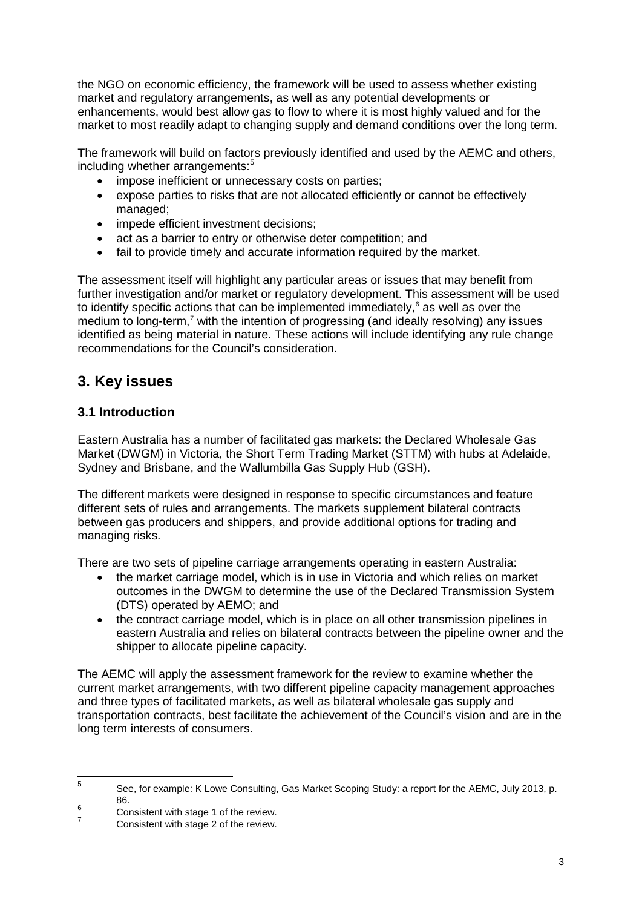the NGO on economic efficiency, the framework will be used to assess whether existing market and regulatory arrangements, as well as any potential developments or enhancements, would best allow gas to flow to where it is most highly valued and for the market to most readily adapt to changing supply and demand conditions over the long term.

The framework will build on factors previously identified and used by the AEMC and others, including whether arrangements: [5](#page-1-3)

- impose inefficient or unnecessary costs on parties;
- expose parties to risks that are not allocated efficiently or cannot be effectively managed;
- impede efficient investment decisions;
- act as a barrier to entry or otherwise deter competition; and
- fail to provide timely and accurate information required by the market.

The assessment itself will highlight any particular areas or issues that may benefit from further investigation and/or market or regulatory development. This assessment will be used to identify specific actions that can be implemented immediately, [6](#page-2-0) as well as over the medium to long-term,<sup>[7](#page-2-1)</sup> with the intention of progressing (and ideally resolving) any issues identified as being material in nature. These actions will include identifying any rule change recommendations for the Council's consideration.

## **3. Key issues**

#### **3.1 Introduction**

Eastern Australia has a number of facilitated gas markets: the Declared Wholesale Gas Market (DWGM) in Victoria, the Short Term Trading Market (STTM) with hubs at Adelaide, Sydney and Brisbane, and the Wallumbilla Gas Supply Hub (GSH).

The different markets were designed in response to specific circumstances and feature different sets of rules and arrangements. The markets supplement bilateral contracts between gas producers and shippers, and provide additional options for trading and managing risks.

There are two sets of pipeline carriage arrangements operating in eastern Australia:

- the market carriage model, which is in use in Victoria and which relies on market outcomes in the DWGM to determine the use of the Declared Transmission System (DTS) operated by AEMO; and
- the contract carriage model, which is in place on all other transmission pipelines in eastern Australia and relies on bilateral contracts between the pipeline owner and the shipper to allocate pipeline capacity.

The AEMC will apply the assessment framework for the review to examine whether the current market arrangements, with two different pipeline capacity management approaches and three types of facilitated markets, as well as bilateral wholesale gas supply and transportation contracts, best facilitate the achievement of the Council's vision and are in the long term interests of consumers.

<span id="page-2-2"></span> <sup>5</sup> See, for example: K Lowe Consulting, Gas Market Scoping Study: a report for the AEMC, July 2013, p.

<span id="page-2-0"></span><sup>86. 86. 6 6 6</sup> Consistent with stage 1 of the review.<br><sup>7</sup> Consistent with stage 2 of the review.

<span id="page-2-1"></span>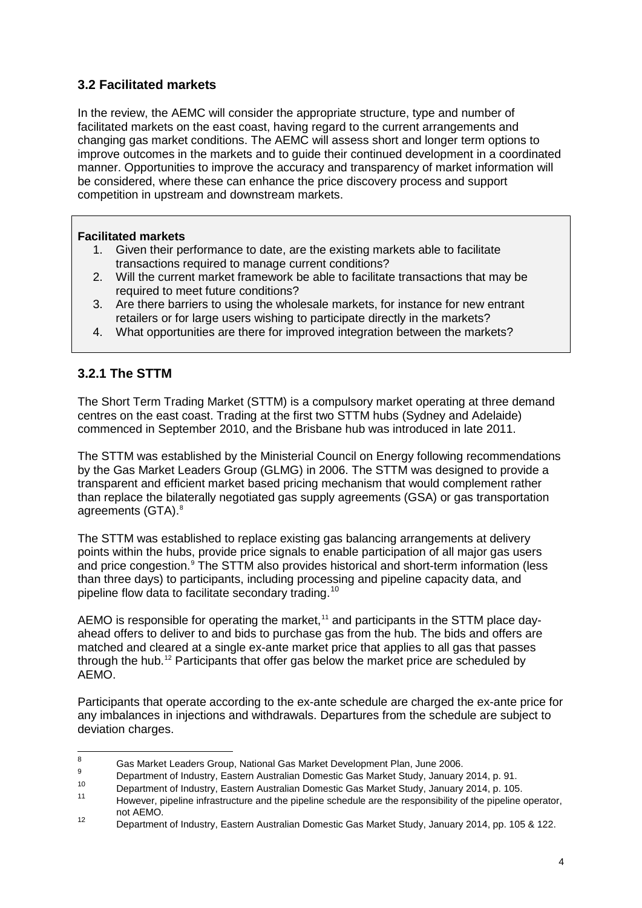## **3.2 Facilitated markets**

In the review, the AEMC will consider the appropriate structure, type and number of facilitated markets on the east coast, having regard to the current arrangements and changing gas market conditions. The AEMC will assess short and longer term options to improve outcomes in the markets and to guide their continued development in a coordinated manner. Opportunities to improve the accuracy and transparency of market information will be considered, where these can enhance the price discovery process and support competition in upstream and downstream markets.

#### **Facilitated markets**

- 1. Given their performance to date, are the existing markets able to facilitate transactions required to manage current conditions?
- 2. Will the current market framework be able to facilitate transactions that may be required to meet future conditions?
- 3. Are there barriers to using the wholesale markets, for instance for new entrant retailers or for large users wishing to participate directly in the markets?
- 4. What opportunities are there for improved integration between the markets?

## **3.2.1 The STTM**

The Short Term Trading Market (STTM) is a compulsory market operating at three demand centres on the east coast. Trading at the first two STTM hubs (Sydney and Adelaide) commenced in September 2010, and the Brisbane hub was introduced in late 2011.

The STTM was established by the Ministerial Council on Energy following recommendations by the Gas Market Leaders Group (GLMG) in 2006. The STTM was designed to provide a transparent and efficient market based pricing mechanism that would complement rather than replace the bilaterally negotiated gas supply agreements (GSA) or gas transportation agreements (GTA).<sup>[8](#page-2-2)</sup>

The STTM was established to replace existing gas balancing arrangements at delivery points within the hubs, provide price signals to enable participation of all major gas users and price congestion.<sup>[9](#page-3-0)</sup> The STTM also provides historical and short-term information (less than three days) to participants, including processing and pipeline capacity data, and pipeline flow data to facilitate secondary trading.<sup>[10](#page-3-1)</sup>

AEMO is responsible for operating the market,<sup>[11](#page-3-2)</sup> and participants in the STTM place dayahead offers to deliver to and bids to purchase gas from the hub. The bids and offers are matched and cleared at a single ex-ante market price that applies to all gas that passes through the hub.[12](#page-3-3) Participants that offer gas below the market price are scheduled by AEMO.

Participants that operate according to the ex-ante schedule are charged the ex-ante price for any imbalances in injections and withdrawals. Departures from the schedule are subject to deviation charges.

<span id="page-3-4"></span><sup>8</sup> Gas Market Leaders Group, National Gas Market Development Plan, June 2006.

<span id="page-3-0"></span><sup>&</sup>lt;sup>9</sup> Department of Industry, Eastern Australian Domestic Gas Market Study, January 2014, p. 91.

<span id="page-3-2"></span><span id="page-3-1"></span><sup>10</sup> Department of Industry, Eastern Australian Domestic Gas Market Study, January 2014, p. 105.

However, pipeline infrastructure and the pipeline schedule are the responsibility of the pipeline operator, not AEMO.

<span id="page-3-3"></span><sup>12</sup> Department of Industry, Eastern Australian Domestic Gas Market Study, January 2014, pp. 105 & 122.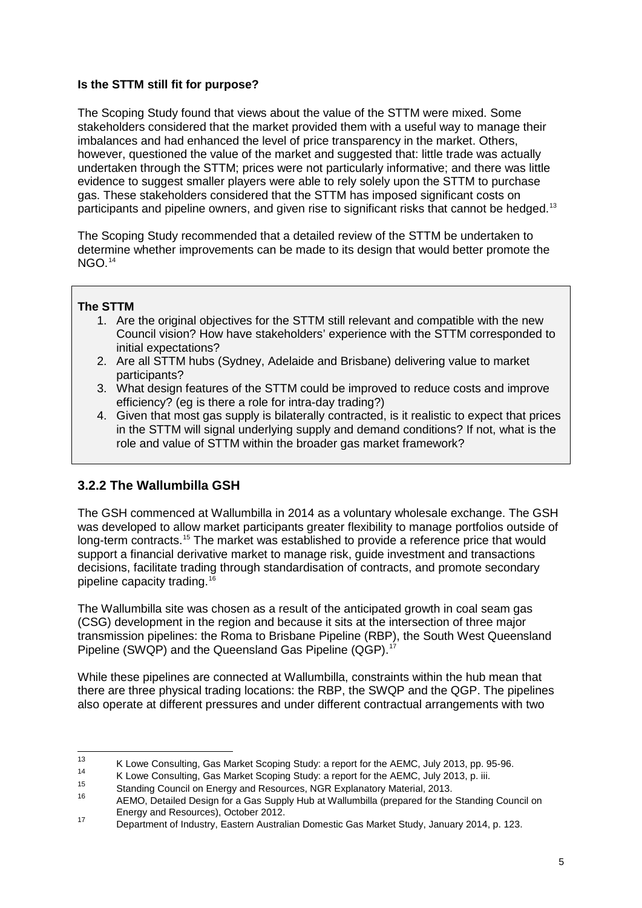#### **Is the STTM still fit for purpose?**

The Scoping Study found that views about the value of the STTM were mixed. Some stakeholders considered that the market provided them with a useful way to manage their imbalances and had enhanced the level of price transparency in the market. Others, however, questioned the value of the market and suggested that: little trade was actually undertaken through the STTM; prices were not particularly informative; and there was little evidence to suggest smaller players were able to rely solely upon the STTM to purchase gas. These stakeholders considered that the STTM has imposed significant costs on participants and pipeline owners, and given rise to significant risks that cannot be hedged.<sup>[13](#page-3-4)</sup>

The Scoping Study recommended that a detailed review of the STTM be undertaken to determine whether improvements can be made to its design that would better promote the NGO.<sup>[14](#page-4-0)</sup>

#### **The STTM**

- 1. Are the original objectives for the STTM still relevant and compatible with the new Council vision? How have stakeholders' experience with the STTM corresponded to initial expectations?
- 2. Are all STTM hubs (Sydney, Adelaide and Brisbane) delivering value to market participants?
- 3. What design features of the STTM could be improved to reduce costs and improve efficiency? (eg is there a role for intra-day trading?)
- 4. Given that most gas supply is bilaterally contracted, is it realistic to expect that prices in the STTM will signal underlying supply and demand conditions? If not, what is the role and value of STTM within the broader gas market framework?

## **3.2.2 The Wallumbilla GSH**

The GSH commenced at Wallumbilla in 2014 as a voluntary wholesale exchange. The GSH was developed to allow market participants greater flexibility to manage portfolios outside of long-term contracts.<sup>[15](#page-4-1)</sup> The market was established to provide a reference price that would support a financial derivative market to manage risk, guide investment and transactions decisions, facilitate trading through standardisation of contracts, and promote secondary pipeline capacity trading.[16](#page-4-2)

The Wallumbilla site was chosen as a result of the anticipated growth in coal seam gas (CSG) development in the region and because it sits at the intersection of three major transmission pipelines: the Roma to Brisbane Pipeline (RBP), the South West Queensland Pipeline (SWQP) and the Queensland Gas Pipeline (QGP).<sup>[17](#page-4-3)</sup>

While these pipelines are connected at Wallumbilla, constraints within the hub mean that there are three physical trading locations: the RBP, the SWQP and the QGP. The pipelines also operate at different pressures and under different contractual arrangements with two

<sup>13</sup> K Lowe Consulting, Gas Market Scoping Study: a report for the AEMC, July 2013, pp. 95-96.

<span id="page-4-4"></span><span id="page-4-2"></span><span id="page-4-1"></span><span id="page-4-0"></span>

<sup>&</sup>lt;sup>14</sup><br>K Lowe Consulting, Gas Market Scoping Study: a report for the AEMC, July 2013, p. iii.<br>
16 Standing Council on Energy and Resources, NGR Explanatory Material, 2013.<br>
16 AEMO, Detailed Design for a Gas Supply Hub at Wa

<span id="page-4-3"></span>Energy and Resources), October 2012. <sup>17</sup> Department of Industry, Eastern Australian Domestic Gas Market Study, January 2014, p. 123.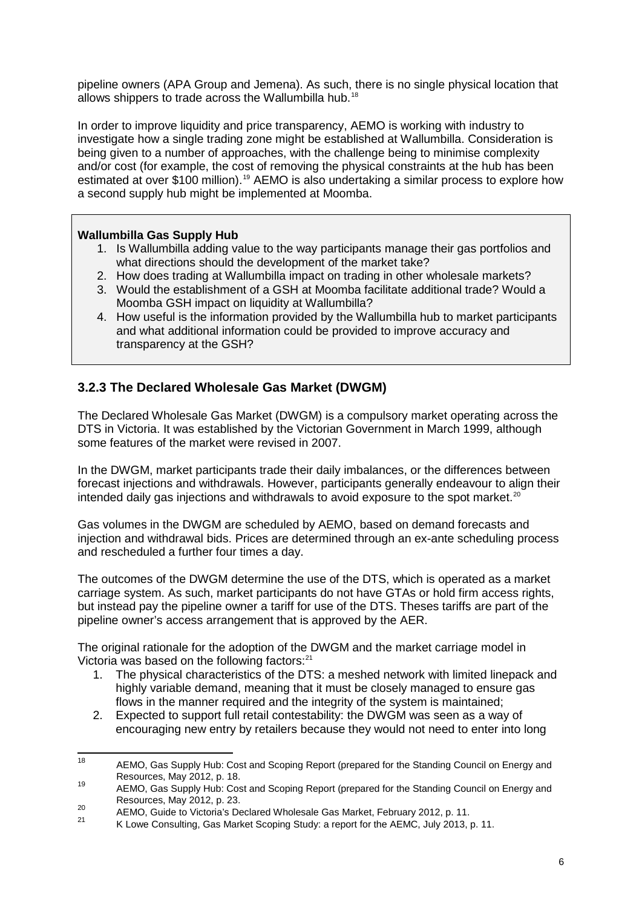pipeline owners (APA Group and Jemena). As such, there is no single physical location that allows shippers to trade across the Wallumbilla hub.<sup>[18](#page-4-4)</sup>

In order to improve liquidity and price transparency, AEMO is working with industry to investigate how a single trading zone might be established at Wallumbilla. Consideration is being given to a number of approaches, with the challenge being to minimise complexity and/or cost (for example, the cost of removing the physical constraints at the hub has been estimated at over \$100 million).<sup>[19](#page-5-0)</sup> AEMO is also undertaking a similar process to explore how a second supply hub might be implemented at Moomba.

#### **Wallumbilla Gas Supply Hub**

- 1. Is Wallumbilla adding value to the way participants manage their gas portfolios and what directions should the development of the market take?
- 2. How does trading at Wallumbilla impact on trading in other wholesale markets?
- 3. Would the establishment of a GSH at Moomba facilitate additional trade? Would a Moomba GSH impact on liquidity at Wallumbilla?
- 4. How useful is the information provided by the Wallumbilla hub to market participants and what additional information could be provided to improve accuracy and transparency at the GSH?

## **3.2.3 The Declared Wholesale Gas Market (DWGM)**

The Declared Wholesale Gas Market (DWGM) is a compulsory market operating across the DTS in Victoria. It was established by the Victorian Government in March 1999, although some features of the market were revised in 2007.

In the DWGM, market participants trade their daily imbalances, or the differences between forecast injections and withdrawals. However, participants generally endeavour to align their intended daily gas injections and withdrawals to avoid exposure to the spot market. $20$ 

Gas volumes in the DWGM are scheduled by AEMO, based on demand forecasts and injection and withdrawal bids. Prices are determined through an ex-ante scheduling process and rescheduled a further four times a day.

The outcomes of the DWGM determine the use of the DTS, which is operated as a market carriage system. As such, market participants do not have GTAs or hold firm access rights, but instead pay the pipeline owner a tariff for use of the DTS. Theses tariffs are part of the pipeline owner's access arrangement that is approved by the AER.

The original rationale for the adoption of the DWGM and the market carriage model in Victoria was based on the following factors:<sup>[21](#page-5-2)</sup>

- 1. The physical characteristics of the DTS: a meshed network with limited linepack and highly variable demand, meaning that it must be closely managed to ensure gas flows in the manner required and the integrity of the system is maintained;
- 2. Expected to support full retail contestability: the DWGM was seen as a way of encouraging new entry by retailers because they would not need to enter into long

<span id="page-5-3"></span><sup>&</sup>lt;sup>18</sup> AEMO, Gas Supply Hub: Cost and Scoping Report (prepared for the Standing Council on Energy and Resources, May 2012, p. 18.

<span id="page-5-0"></span><sup>19</sup> AEMO, Gas Supply Hub: Cost and Scoping Report (prepared for the Standing Council on Energy and<br>Resources, May 2012, p. 23.

<span id="page-5-1"></span><sup>20</sup> AEMO, Guide to Victoria's Declared Wholesale Gas Market, February 2012, p. 11.<br>21 AEMO, Guide to Victoria's Declared Wholesale Gas Market, February 2012, p. 11.

<span id="page-5-2"></span>K Lowe Consulting, Gas Market Scoping Study: a report for the AEMC, July 2013, p. 11.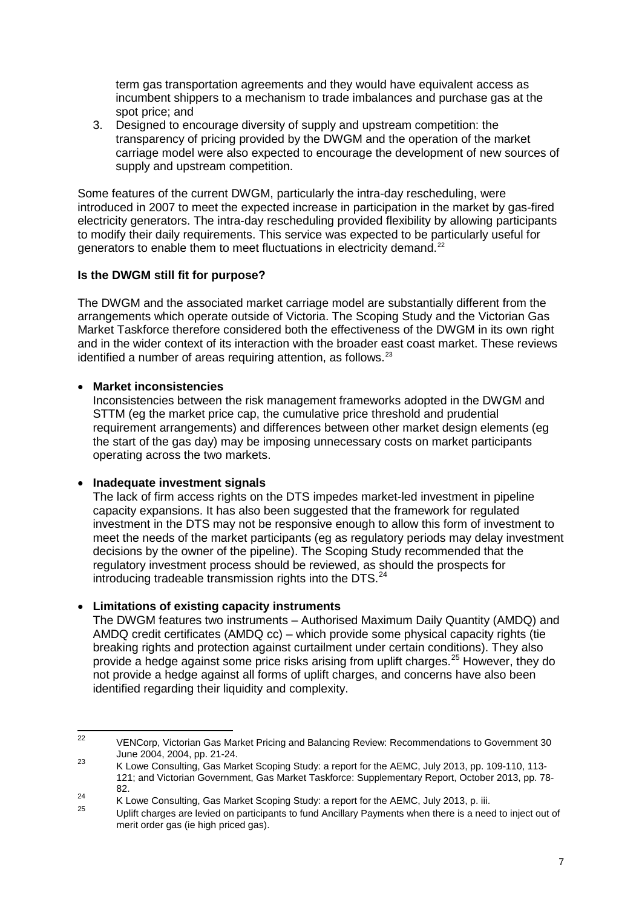term gas transportation agreements and they would have equivalent access as incumbent shippers to a mechanism to trade imbalances and purchase gas at the spot price; and

3. Designed to encourage diversity of supply and upstream competition: the transparency of pricing provided by the DWGM and the operation of the market carriage model were also expected to encourage the development of new sources of supply and upstream competition.

Some features of the current DWGM, particularly the intra-day rescheduling, were introduced in 2007 to meet the expected increase in participation in the market by gas-fired electricity generators. The intra-day rescheduling provided flexibility by allowing participants to modify their daily requirements. This service was expected to be particularly useful for generators to enable them to meet fluctuations in electricity demand.<sup>[22](#page-5-3)</sup>

#### **Is the DWGM still fit for purpose?**

The DWGM and the associated market carriage model are substantially different from the arrangements which operate outside of Victoria. The Scoping Study and the Victorian Gas Market Taskforce therefore considered both the effectiveness of the DWGM in its own right and in the wider context of its interaction with the broader east coast market. These reviews identified a number of areas requiring attention, as follows. $23$ 

#### • **Market inconsistencies**

Inconsistencies between the risk management frameworks adopted in the DWGM and STTM (eg the market price cap, the cumulative price threshold and prudential requirement arrangements) and differences between other market design elements (eg the start of the gas day) may be imposing unnecessary costs on market participants operating across the two markets.

#### • **Inadequate investment signals**

The lack of firm access rights on the DTS impedes market-led investment in pipeline capacity expansions. It has also been suggested that the framework for regulated investment in the DTS may not be responsive enough to allow this form of investment to meet the needs of the market participants (eg as regulatory periods may delay investment decisions by the owner of the pipeline). The Scoping Study recommended that the regulatory investment process should be reviewed, as should the prospects for introducing tradeable transmission rights into the DTS. $^{24}$  $^{24}$  $^{24}$ 

#### • **Limitations of existing capacity instruments**

The DWGM features two instruments – Authorised Maximum Daily Quantity (AMDQ) and AMDQ credit certificates (AMDQ cc) – which provide some physical capacity rights (tie breaking rights and protection against curtailment under certain conditions). They also provide a hedge against some price risks arising from uplift charges.<sup>[25](#page-6-2)</sup> However, they do not provide a hedge against all forms of uplift charges, and concerns have also been identified regarding their liquidity and complexity.

<sup>&</sup>lt;sup>22</sup> VENCorp, Victorian Gas Market Pricing and Balancing Review: Recommendations to Government 30 June 2004, 2004, pp. 21-24.

<span id="page-6-0"></span><sup>23</sup> Conce 2004, 2004, pp. 21 24.<br>K Lowe Consulting, Gas Market Scoping Study: a report for the AEMC, July 2013, pp. 109-110, 113-121; and Victorian Government, Gas Market Taskforce: Supplementary Report, October 2013, pp. 78- 82.

<span id="page-6-3"></span><span id="page-6-1"></span><sup>&</sup>lt;sup>24</sup> K Lowe Consulting, Gas Market Scoping Study: a report for the AEMC, July 2013, p. iii.

<span id="page-6-2"></span><sup>25</sup> Uplift charges are levied on participants to fund Ancillary Payments when there is a need to inject out of merit order gas (ie high priced gas).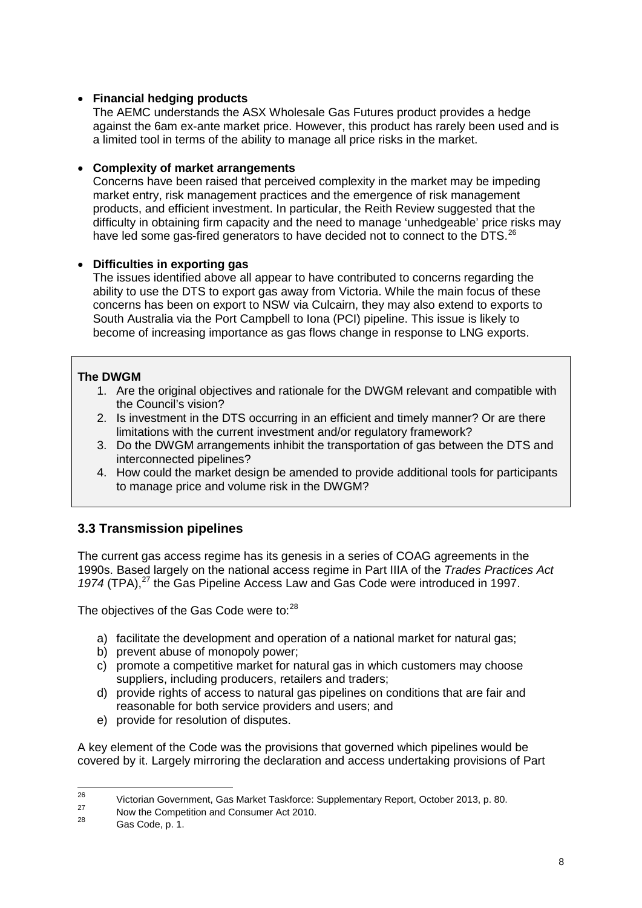#### • **Financial hedging products**

The AEMC understands the ASX Wholesale Gas Futures product provides a hedge against the 6am ex-ante market price. However, this product has rarely been used and is a limited tool in terms of the ability to manage all price risks in the market.

#### • **Complexity of market arrangements**

Concerns have been raised that perceived complexity in the market may be impeding market entry, risk management practices and the emergence of risk management products, and efficient investment. In particular, the Reith Review suggested that the difficulty in obtaining firm capacity and the need to manage 'unhedgeable' price risks may have led some gas-fired generators to have decided not to connect to the DTS.<sup>[26](#page-6-3)</sup>

#### • **Difficulties in exporting gas**

The issues identified above all appear to have contributed to concerns regarding the ability to use the DTS to export gas away from Victoria. While the main focus of these concerns has been on export to NSW via Culcairn, they may also extend to exports to South Australia via the Port Campbell to Iona (PCI) pipeline. This issue is likely to become of increasing importance as gas flows change in response to LNG exports.

#### **The DWGM**

- 1. Are the original objectives and rationale for the DWGM relevant and compatible with the Council's vision?
- 2. Is investment in the DTS occurring in an efficient and timely manner? Or are there limitations with the current investment and/or regulatory framework?
- 3. Do the DWGM arrangements inhibit the transportation of gas between the DTS and interconnected pipelines?
- 4. How could the market design be amended to provide additional tools for participants to manage price and volume risk in the DWGM?

## **3.3 Transmission pipelines**

The current gas access regime has its genesis in a series of COAG agreements in the 1990s. Based largely on the national access regime in Part IIIA of the *Trades Practices Act*  1974 (TPA),<sup>[27](#page-7-0)</sup> the Gas Pipeline Access Law and Gas Code were introduced in 1997.

The objectives of the Gas Code were to:<sup>[28](#page-7-1)</sup>

- a) facilitate the development and operation of a national market for natural gas;
- b) prevent abuse of monopoly power;
- c) promote a competitive market for natural gas in which customers may choose suppliers, including producers, retailers and traders;
- d) provide rights of access to natural gas pipelines on conditions that are fair and reasonable for both service providers and users; and
- e) provide for resolution of disputes.

A key element of the Code was the provisions that governed which pipelines would be covered by it. Largely mirroring the declaration and access undertaking provisions of Part

<span id="page-7-2"></span><sup>&</sup>lt;sup>26</sup> Victorian Government, Gas Market Taskforce: Supplementary Report, October 2013, p. 80.

<span id="page-7-1"></span><span id="page-7-0"></span><sup>&</sup>lt;sup>27</sup> Now the Competition and Consumer Act 2010.

Gas Code, p. 1.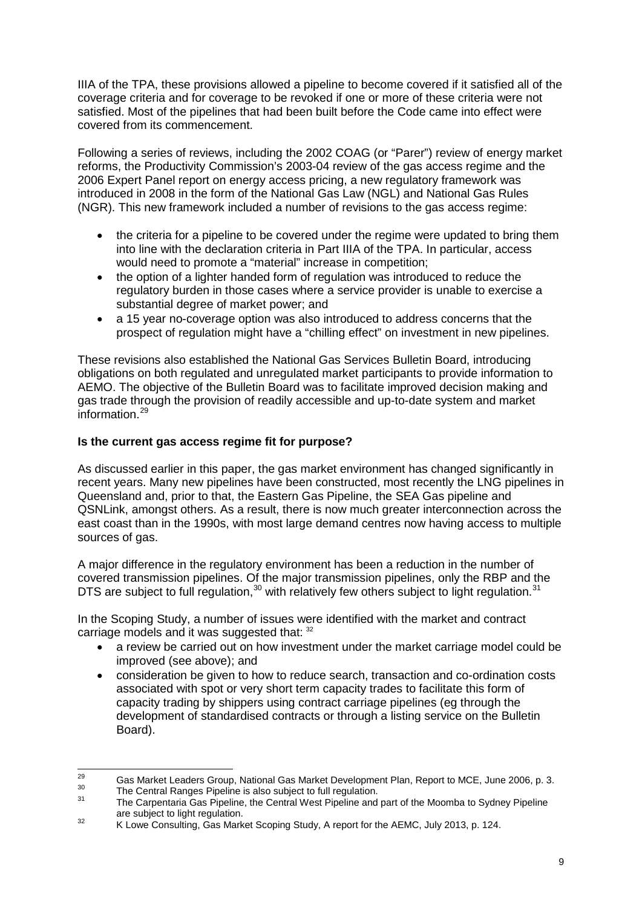IIIA of the TPA, these provisions allowed a pipeline to become covered if it satisfied all of the coverage criteria and for coverage to be revoked if one or more of these criteria were not satisfied. Most of the pipelines that had been built before the Code came into effect were covered from its commencement.

Following a series of reviews, including the 2002 COAG (or "Parer") review of energy market reforms, the Productivity Commission's 2003-04 review of the gas access regime and the 2006 Expert Panel report on energy access pricing, a new regulatory framework was introduced in 2008 in the form of the National Gas Law (NGL) and National Gas Rules (NGR). This new framework included a number of revisions to the gas access regime:

- the criteria for a pipeline to be covered under the regime were updated to bring them into line with the declaration criteria in Part IIIA of the TPA. In particular, access would need to promote a "material" increase in competition;
- the option of a lighter handed form of regulation was introduced to reduce the regulatory burden in those cases where a service provider is unable to exercise a substantial degree of market power; and
- a 15 year no-coverage option was also introduced to address concerns that the prospect of regulation might have a "chilling effect" on investment in new pipelines.

These revisions also established the National Gas Services Bulletin Board, introducing obligations on both regulated and unregulated market participants to provide information to AEMO. The objective of the Bulletin Board was to facilitate improved decision making and gas trade through the provision of readily accessible and up-to-date system and market information.[29](#page-7-2)

#### **Is the current gas access regime fit for purpose?**

As discussed earlier in this paper, the gas market environment has changed significantly in recent years. Many new pipelines have been constructed, most recently the LNG pipelines in Queensland and, prior to that, the Eastern Gas Pipeline, the SEA Gas pipeline and QSNLink, amongst others. As a result, there is now much greater interconnection across the east coast than in the 1990s, with most large demand centres now having access to multiple sources of gas.

A major difference in the regulatory environment has been a reduction in the number of covered transmission pipelines. Of the major transmission pipelines, only the RBP and the DTS are subject to full regulation,  $30$  with relatively few others subject to light regulation.  $31$ 

In the Scoping Study, a number of issues were identified with the market and contract carriage models and it was suggested that: [32](#page-8-2)

- a review be carried out on how investment under the market carriage model could be improved (see above); and
- consideration be given to how to reduce search, transaction and co-ordination costs associated with spot or very short term capacity trades to facilitate this form of capacity trading by shippers using contract carriage pipelines (eg through the development of standardised contracts or through a listing service on the Bulletin Board).

<span id="page-8-3"></span><span id="page-8-0"></span><sup>&</sup>lt;sup>29</sup> Gas Market Leaders Group, National Gas Market Development Plan, Report to MCE, June 2006, p. 3.<br><sup>30</sup> The Central Ranges Pipeline is also subject to full regulation.<br><sup>31</sup> The Carpentaria Gas Pipeline, the Central West

<span id="page-8-2"></span><span id="page-8-1"></span>are subject to light regulation.<br>32 K Lowe Consulting, Gas Market Scoping Study, A report for the AEMC, July 2013, p. 124.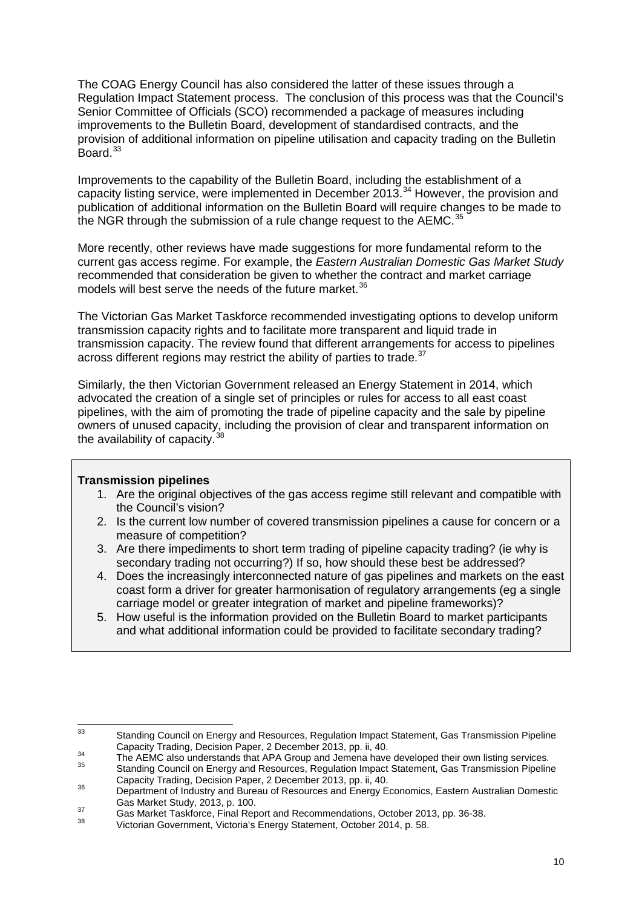The COAG Energy Council has also considered the latter of these issues through a Regulation Impact Statement process. The conclusion of this process was that the Council's Senior Committee of Officials (SCO) recommended a package of measures including improvements to the Bulletin Board, development of standardised contracts, and the provision of additional information on pipeline utilisation and capacity trading on the Bulletin Board.<sup>[33](#page-8-3)</sup>

Improvements to the capability of the Bulletin Board, including the establishment of a capacity listing service, were implemented in December 2013.<sup>[34](#page-9-0)</sup> However, the provision and publication of additional information on the Bulletin Board will require changes to be made to the NGR through the submission of a rule change request to the  $AEMC$ <sup>[35](#page-9-1)</sup>

More recently, other reviews have made suggestions for more fundamental reform to the current gas access regime. For example, the *Eastern Australian Domestic Gas Market Study* recommended that consideration be given to whether the contract and market carriage models will best serve the needs of the future market. [36](#page-9-2)

The Victorian Gas Market Taskforce recommended investigating options to develop uniform transmission capacity rights and to facilitate more transparent and liquid trade in transmission capacity. The review found that different arrangements for access to pipelines across different regions may restrict the ability of parties to trade.<sup>[37](#page-9-3)</sup>

Similarly, the then Victorian Government released an Energy Statement in 2014, which advocated the creation of a single set of principles or rules for access to all east coast pipelines, with the aim of promoting the trade of pipeline capacity and the sale by pipeline owners of unused capacity, including the provision of clear and transparent information on the availability of capacity.  $38$ 

#### **Transmission pipelines**

- 1. Are the original objectives of the gas access regime still relevant and compatible with the Council's vision?
- 2. Is the current low number of covered transmission pipelines a cause for concern or a measure of competition?
- 3. Are there impediments to short term trading of pipeline capacity trading? (ie why is secondary trading not occurring?) If so, how should these best be addressed?
- 4. Does the increasingly interconnected nature of gas pipelines and markets on the east coast form a driver for greater harmonisation of regulatory arrangements (eg a single carriage model or greater integration of market and pipeline frameworks)?
- 5. How useful is the information provided on the Bulletin Board to market participants and what additional information could be provided to facilitate secondary trading?

<sup>33</sup> Standing Council on Energy and Resources, Regulation Impact Statement, Gas Transmission Pipeline<br>Capacity Trading, Decision Paper, 2 December 2013, pp. ii, 40.

<span id="page-9-1"></span><span id="page-9-0"></span><sup>&</sup>lt;sup>34</sup><br>The AEMC also understands that APA Group and Jemena have developed their own listing services.<br>35<br>Capacity Trading Council on Energy and Resources, Regulation Impact Statement, Gas Transmission Pipeline<br>Capacity Tradi

<span id="page-9-2"></span>Supposity Trading, Decision Paper, 2 December 2013, pp. ii, 40.<br>Department of Industry and Bureau of Resources and Energy Economics, Eastern Australian Domestic<br>Gas Market Study, 2013, p. 100.

<span id="page-9-3"></span>Gas Market Study, 2013, p. 100.<br>
Gas Market Taskforce, Final Report and Recommendations, October 2013, pp. 36-38.<br>
Victorian Government, Victoria's Energy Statement, October 2014, p. 58.

<span id="page-9-4"></span>